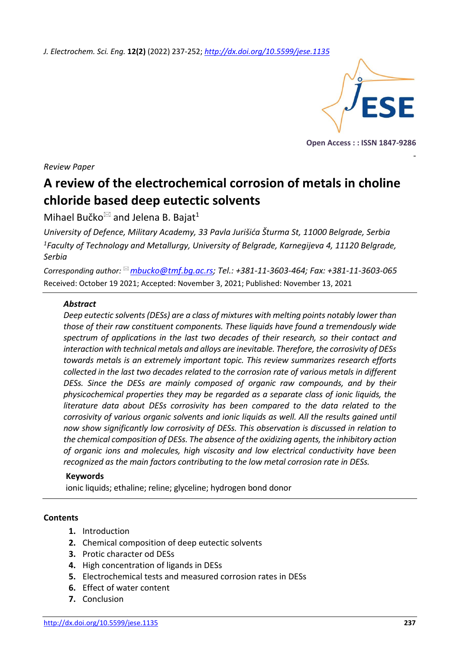*J. Electrochem. Sci. Eng.* **12(2)** (2022) 237-252; *<http://dx.doi.org/10.5599/jese.1135>*



**Open Access : : ISSN 1847-9286**

-

*Review Paper*

# **A review of the electrochemical corrosion of metals in choline chloride based deep eutectic solvents**

Mihael Bučko $^{\boxtimes}$  and Jelena B. Bajat<sup>1</sup>

*University of Defence, Military Academy, 33 Pavla Jurišića Šturma St, 11000 Belgrade, Serbia <sup>1</sup>Faculty of Technology and Metallurgy, University of Belgrade, Karnegijeva 4, 11120 Belgrade, Serbia*

*Corresponding author: [mbucko@tmf.bg.ac.rs;](mailto:mbucko@tmf.bg.ac.rs) Tel.: +381-11-3603-464; Fax: +381-11-3603-065* Received: October 19 2021; Accepted: November 3, 2021; Published: November 13, 2021

# *Abstract*

*Deep eutectic solvents (DESs) are a class of mixtures with melting points notably lower than those of their raw constituent components. These liquids have found a tremendously wide spectrum of applications in the last two decades of their research, so their contact and interaction with technical metals and alloys are inevitable. Therefore, the corrosivity of DESs towards metals is an extremely important topic. This review summarizes research efforts collected in the last two decades related to the corrosion rate of various metals in different DESs. Since the DESs are mainly composed of organic raw compounds, and by their physicochemical properties they may be regarded as a separate class of ionic liquids, the literature data about DESs corrosivity has been compared to the data related to the corrosivity of various organic solvents and ionic liquids as well. All the results gained until now show significantly low corrosivity of DESs. This observation is discussed in relation to the chemical composition of DESs. The absence of the oxidizing agents, the inhibitory action of organic ions and molecules, high viscosity and low electrical conductivity have been recognized as the main factors contributing to the low metal corrosion rate in DESs.*

# **Keywords**

ionic liquids; ethaline; reline; glyceline; hydrogen bond donor

# **Contents**

- **1.** Introduction
- **2.** Chemical composition of deep eutectic solvents
- **3.** Protic character od DESs
- **4.** High concentration of ligands in DESs
- **5.** Electrochemical tests and measured corrosion rates in DESs
- **6.** Effect of water content
- **7.** Conclusion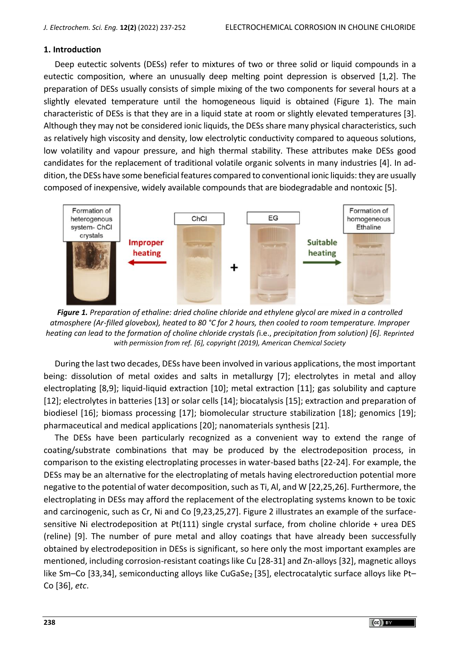# **1. Introduction**

Deep eutectic solvents (DESs) refer to mixtures of two or three solid or liquid compounds in a eutectic composition, where an unusually deep melting point depression is observed [1,2]. The preparation of DESs usually consists of simple mixing of the two components for several hours at a slightly elevated temperature until the homogeneous liquid is obtained (Figure 1). The main characteristic of DESs is that they are in a liquid state at room or slightly elevated temperatures [3]. Although they may not be considered ionic liquids, the DESs share many physical characteristics, such as relatively high viscosity and density, low electrolytic conductivity compared to aqueous solutions, low volatility and vapour pressure, and high thermal stability. These attributes make DESs good candidates for the replacement of traditional volatile organic solvents in many industries [4]. In addition, the DESs have some beneficial features compared to conventional ionic liquids: they are usually composed of inexpensive, widely available compounds that are biodegradable and nontoxic [5].



*Figure 1. Preparation of ethaline: dried choline chloride and ethylene glycol are mixed in a controlled atmosphere (Ar‐filled glovebox), heated to 80 °C for 2 hours, then cooled to room temperature. Improper heating can lead to the formation of choline chloride crystals (*i.e., *precipitation from solution) [6]. Reprinted with permission from ref. [6], copyright (2019), American Chemical Society*

During the last two decades, DESs have been involved in various applications, the most important being: dissolution of metal oxides and salts in metallurgy [7]; electrolytes in metal and alloy electroplating [8,9]; liquid-liquid extraction [10]; metal extraction [11]; gas solubility and capture [12]; electrolytes in batteries [13] or solar cells [14]; biocatalysis [15]; extraction and preparation of biodiesel [16]; biomass processing [17]; biomolecular structure stabilization [18]; genomics [19]; pharmaceutical and medical applications [20]; nanomaterials synthesis [21].

The DESs have been particularly recognized as a convenient way to extend the range of coating/substrate combinations that may be produced by the electrodeposition process, in comparison to the existing electroplating processes in water-based baths [22-24]. For example, the DESs may be an alternative for the electroplating of metals having electroreduction potential more negative to the potential of water decomposition, such as Ti, Al, and W [22,25,26]. Furthermore, the electroplating in DESs may afford the replacement of the electroplating systems known to be toxic and carcinogenic, such as Cr, Ni and Co [9,23,25,27]. Figure 2 illustrates an example of the surfacesensitive Ni electrodeposition at Pt(111) single crystal surface, from choline chloride + urea DES (reline) [9]. The number of pure metal and alloy coatings that have already been successfully obtained by electrodeposition in DESs is significant, so here only the most important examples are mentioned, including corrosion-resistant coatings like Cu [28-31] and Zn-alloys [32], magnetic alloys like Sm–Co [33,34], semiconducting alloys like CuGaSe<sub>2</sub> [35], electrocatalytic surface alloys like Pt– Co [36], *etc*.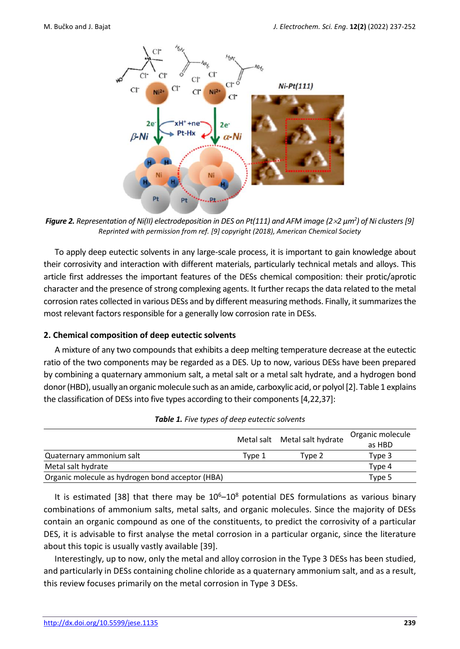

*Figure 2. Representation of Ni(II) electrodeposition in DES on Pt(111) and AFM image (22 μm<sup>2</sup> ) of Ni clusters [9] Reprinted with permission from ref. [9] copyright (2018), American Chemical Society*

To apply deep eutectic solvents in any large-scale process, it is important to gain knowledge about their corrosivity and interaction with different materials, particularly technical metals and alloys. This article first addresses the important features of the DESs chemical composition: their protic/aprotic character and the presence of strong complexing agents. It further recaps the data related to the metal corrosion rates collected in various DESs and by different measuring methods. Finally, it summarizes the most relevant factors responsible for a generally low corrosion rate in DESs.

# **2. Chemical composition of deep eutectic solvents**

A mixture of any two compounds that exhibits a deep melting temperature decrease at the eutectic ratio of the two components may be regarded as a DES. Up to now, various DESs have been prepared by combining a quaternary ammonium salt, a metal salt or a metal salt hydrate, and a hydrogen bond donor (HBD), usually an organic molecule such as an amide, carboxylic acid, or polyol [2]. Table 1 explains the classification of DESs into five types according to their components [4,22,37]:

|        |        | Organic molecule              |
|--------|--------|-------------------------------|
|        |        | as HBD                        |
| Type 1 | Tvpe 2 | Type 3                        |
|        |        | Type 4                        |
|        |        | Type 5                        |
|        |        | Metal salt Metal salt hydrate |

|  |  |  | Table 1. Five types of deep eutectic solvents |
|--|--|--|-----------------------------------------------|
|--|--|--|-----------------------------------------------|

It is estimated [38] that there may be  $10^6$ - $10^8$  potential DES formulations as various binary combinations of ammonium salts, metal salts, and organic molecules. Since the majority of DESs contain an organic compound as one of the constituents, to predict the corrosivity of a particular DES, it is advisable to first analyse the metal corrosion in a particular organic, since the literature about this topic is usually vastly available [39].

Interestingly, up to now, only the metal and alloy corrosion in the Type 3 DESs has been studied, and particularly in DESs containing choline chloride as a quaternary ammonium salt, and as a result, this review focuses primarily on the metal corrosion in Type 3 DESs.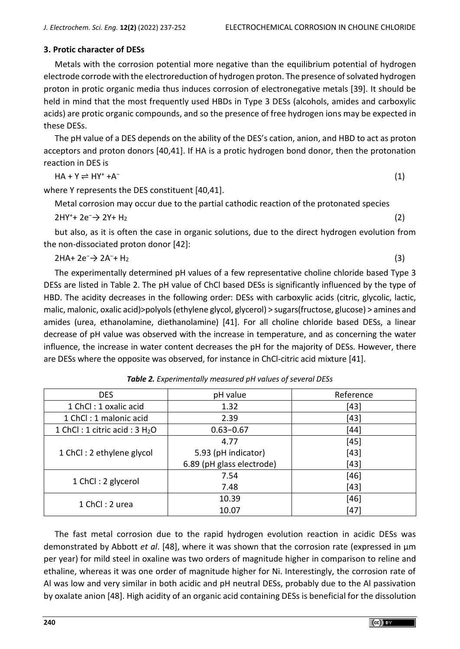# **3. Protic character of DESs**

Metals with the corrosion potential more negative than the equilibrium potential of hydrogen electrode corrode with the electroreduction of hydrogen proton. The presence of solvated hydrogen proton in protic organic media thus induces corrosion of electronegative metals [39]. It should be held in mind that the most frequently used HBDs in Type 3 DESs (alcohols, amides and carboxylic acids) are protic organic compounds, and so the presence of free hydrogen ions may be expected in these DESs.

The pH value of a DES depends on the ability of the DES's cation, anion, and HBD to act as proton acceptors and proton donors [40,41]. If HA is a protic hydrogen bond donor, then the protonation reaction in DES is

 $HA + Y \rightleftharpoons HY^+ + A^-$ (1)

where Y represents the DES constituent [40,41].

Metal corrosion may occur due to the partial cathodic reaction of the protonated species 2HY<sup>+</sup>+ 2e<sup>−</sup>→ 2Y+ H<sup>2</sup> (2)

but also, as it is often the case in organic solutions, due to the direct hydrogen evolution from the non-dissociated proton donor [42]:

 $2HA + 2e^-$  →  $2A^-$ + H<sub>2</sub> (3)

The experimentally determined pH values of a few representative choline chloride based Type 3 DESs are listed in Table 2. The pH value of ChCl based DESs is significantly influenced by the type of HBD. The acidity decreases in the following order: DESs with carboxylic acids (citric, glycolic, lactic, malic, malonic, oxalic acid)>polyols (ethylene glycol, glycerol) > sugars(fructose, glucose) > amines and amides (urea, ethanolamine, diethanolamine) [41]. For all choline chloride based DESs, a linear decrease of pH value was observed with the increase in temperature, and as concerning the water influence, the increase in water content decreases the pH for the majority of DESs. However, there are DESs where the opposite was observed, for instance in ChCl-citric acid mixture [41].

| <b>DES</b>                     | pH value                  | Reference |  |
|--------------------------------|---------------------------|-----------|--|
| 1 ChCl: 1 oxalic acid          | 1.32                      | [43]      |  |
| 1 ChCl: 1 malonic acid         | 2.39                      | $[43]$    |  |
| 1 ChCl: 1 citric acid: $3 H2O$ | $0.63 - 0.67$             | $[44]$    |  |
|                                | 4.77                      | $[45]$    |  |
| 1 ChCl: 2 ethylene glycol      | 5.93 (pH indicator)       | $[43]$    |  |
|                                | 6.89 (pH glass electrode) | $[43]$    |  |
| 1 ChCl: 2 glycerol             | 7.54                      | $[46]$    |  |
|                                | 7.48                      | $[43]$    |  |
|                                | 10.39                     | $[46]$    |  |
| 1 ChCl: 2 urea                 | 10.07                     | [47]      |  |

The fast metal corrosion due to the rapid hydrogen evolution reaction in acidic DESs was demonstrated by Abbott *et al*. [48], where it was shown that the corrosion rate (expressed in μm per year) for mild steel in oxaline was two orders of magnitude higher in comparison to reline and ethaline, whereas it was one order of magnitude higher for Ni. Interestingly, the corrosion rate of Al was low and very similar in both acidic and pH neutral DESs, probably due to the Al passivation by oxalate anion [48]. High acidity of an organic acid containing DESs is beneficial for the dissolution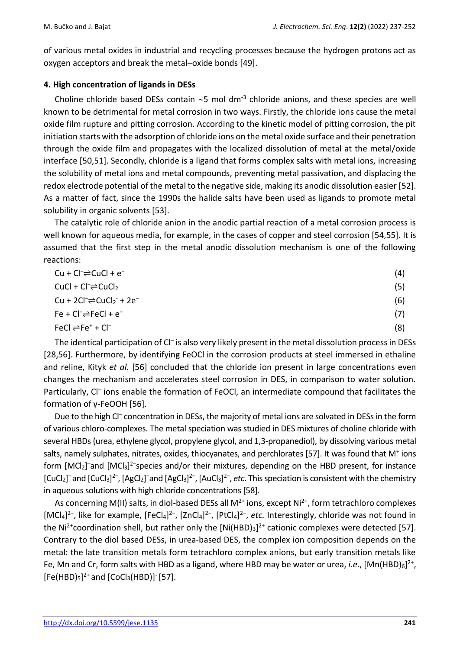of various metal oxides in industrial and recycling processes because the hydrogen protons act as oxygen acceptors and break the metal–oxide bonds [49].

# **4. High concentration of ligands in DESs**

Choline chloride based DESs contain  $\sim$ 5 mol dm<sup>-3</sup> chloride anions, and these species are well known to be detrimental for metal corrosion in two ways. Firstly, the chloride ions cause the metal oxide film rupture and pitting corrosion. According to the kinetic model of pitting corrosion, the pit initiation starts with the adsorption of chloride ions on the metal oxide surface and their penetration through the oxide film and propagates with the localized dissolution of metal at the metal/oxide interface [50,51]. Secondly, chloride is a ligand that forms complex salts with metal ions, increasing the solubility of metal ions and metal compounds, preventing metal passivation, and displacing the redox electrode potential of the metal to the negative side, making its anodic dissolution easier [52]. As a matter of fact, since the 1990s the halide salts have been used as ligands to promote metal solubility in organic solvents [53].

The catalytic role of chloride anion in the anodic partial reaction of a metal corrosion process is well known for aqueous media, for example, in the cases of copper and steel corrosion [54,55]. It is assumed that the first step in the metal anodic dissolution mechanism is one of the following reactions:

| $Cu + Cl \rightleftharpoons CuCl + e^{-}$                                                     | (4) |
|-----------------------------------------------------------------------------------------------|-----|
| $CuCl + Cl \rightleftharpoons CuCl2$                                                          | (5) |
| Cu + 2Cl <sup><math>-</math></sup> $\rightleftharpoons$ CuCl <sub>2</sub> $+$ 2e <sup>-</sup> | (6) |
| $Fe + Cl \rightleftharpoons FeCl + e^-$                                                       | (7) |
| $FeCl \rightleftharpoons Fe^+ + Cl^-$                                                         | (8) |

The identical participation of Cl<sup>-</sup> is also very likely present in the metal dissolution process in DESs [28,56]. Furthermore, by identifying FeOCl in the corrosion products at steel immersed in ethaline and reline, Kityk *et al.* [56] concluded that the chloride ion present in large concentrations even changes the mechanism and accelerates steel corrosion in DES, in comparison to water solution. Particularly, Cl<sup>-</sup> ions enable the formation of FeOCI, an intermediate compound that facilitates the formation of γ-FeOOH [56].

Due to the high CI<sup>-</sup> concentration in DESs, the majority of metal ions are solvated in DESs in the form of various chloro-complexes. The metal speciation was studied in DES mixtures of choline chloride with several HBDs (urea, ethylene glycol, propylene glycol, and 1,3-propanediol), by dissolving various metal salts, namely sulphates, nitrates, oxides, thiocyanates, and perchlorates [57]. It was found that M<sup>+</sup> ions form [MCl<sub>2</sub>]<sup>-</sup>and [MCl<sub>3</sub>]<sup>2-</sup>species and/or their mixtures, depending on the HBD present, for instance [CuCl<sub>2</sub>]<sup>-</sup> and [CuCl<sub>3</sub>]<sup>2-</sup>, [AgCl<sub>2</sub>]<sup>-</sup>and [AgCl<sub>3</sub>]<sup>2-</sup>, [AuCl<sub>3</sub>]<sup>2-</sup>, *etc*. This speciation is consistent with the chemistry in aqueous solutions with high chloride concentrations[58].

As concerning M(II) salts, in diol-based DESs all M<sup>2+</sup> ions, except Ni<sup>2+</sup>, form tetrachloro complexes [MCl<sub>4</sub>]<sup>2-</sup>, like for example, [FeCl<sub>4</sub>]<sup>2-</sup>, [ZnCl<sub>4</sub>]<sup>2-</sup>, [PtCl<sub>4</sub>]<sup>2-</sup>, *etc.* Interestingly, chloride was not found in the Ni<sup>2+</sup>coordination shell, but rather only the  $[Ni(HBD)_3]^{2+}$  cationic complexes were detected [57]. Contrary to the diol based DESs, in urea-based DES, the complex ion composition depends on the metal: the late transition metals form tetrachloro complex anions, but early transition metals like Fe, Mn and Cr, form salts with HBD as a ligand, where HBD may be water or urea, *i.e.*, [Mn(HBD)<sub>6</sub>]<sup>2+</sup>,  $[Fe(HBD)_{5}]^{2+}$  and  $[CoCl_{3}(HBD)]^{-}[57]$ .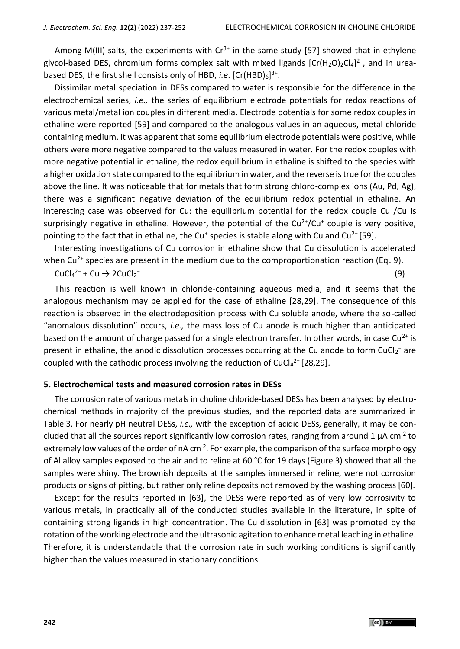Among M(III) salts, the experiments with  $Cr^{3+}$  in the same study [57] showed that in ethylene glycol-based DES, chromium forms complex salt with mixed ligands  $[Cr(H<sub>2</sub>O)<sub>2</sub>Cl<sub>4</sub>]<sup>2-</sup>$ , and in ureabased DES, the first shell consists only of HBD, *i.e*. [Cr(HBD)<sub>6</sub>]<sup>3+</sup>.

Dissimilar metal speciation in DESs compared to water is responsible for the difference in the electrochemical series, *i.e.,* the series of equilibrium electrode potentials for redox reactions of various metal/metal ion couples in different media. Electrode potentials for some redox couples in ethaline were reported [59] and compared to the analogous values in an aqueous, metal chloride containing medium. It was apparent that some equilibrium electrode potentials were positive, while others were more negative compared to the values measured in water. For the redox couples with more negative potential in ethaline, the redox equilibrium in ethaline is shifted to the species with a higher oxidation state compared to the equilibrium in water, and the reverse is true for the couples above the line. It was noticeable that for metals that form strong chloro-complex ions (Au, Pd, Ag), there was a significant negative deviation of the equilibrium redox potential in ethaline. An interesting case was observed for Cu: the equilibrium potential for the redox couple Cu<sup>+</sup>/Cu is surprisingly negative in ethaline. However, the potential of the  $Cu^{2+}/Cu^{+}$  couple is very positive, pointing to the fact that in ethaline, the Cu<sup>+</sup> species is stable along with Cu and Cu<sup>2+</sup> [59].

Interesting investigations of Cu corrosion in ethaline show that Cu dissolution is accelerated when  $Cu^{2+}$  species are present in the medium due to the comproportionation reaction (Eq. 9). (9)

 $CuCl<sub>4</sub><sup>2-</sup> + Cu \rightarrow 2CuCl<sub>2</sub><sup>-</sup>$ 

This reaction is well known in chloride-containing aqueous media, and it seems that the analogous mechanism may be applied for the case of ethaline [28,29]. The consequence of this reaction is observed in the electrodeposition process with Cu soluble anode, where the so-called "anomalous dissolution" occurs, *i.e.,* the mass loss of Cu anode is much higher than anticipated based on the amount of charge passed for a single electron transfer. In other words, in case  $Cu^{2+}$  is present in ethaline, the anodic dissolution processes occurring at the Cu anode to form CuCl<sub>2</sub><sup>-</sup> are coupled with the cathodic process involving the reduction of CuCl<sub>4</sub><sup>2-</sup>[28,29].

#### **5. Electrochemical tests and measured corrosion rates in DESs**

The corrosion rate of various metals in choline chloride-based DESs has been analysed by electrochemical methods in majority of the previous studies, and the reported data are summarized in Table 3. For nearly pH neutral DESs, *i.e.,* with the exception of acidic DESs, generally, it may be concluded that all the sources report significantly low corrosion rates, ranging from around 1  $\mu$ A cm<sup>-2</sup> to extremely low values of the order of nA cm<sup>-2</sup>. For example, the comparison of the surface morphology of Al alloy samples exposed to the air and to reline at 60 °C for 19 days (Figure 3) showed that all the samples were shiny. The brownish deposits at the samples immersed in reline, were not corrosion products or signs of pitting, but rather only reline deposits not removed by the washing process [60].

Except for the results reported in [63], the DESs were reported as of very low corrosivity to various metals, in practically all of the conducted studies available in the literature, in spite of containing strong ligands in high concentration. The Cu dissolution in [63] was promoted by the rotation of the working electrode and the ultrasonic agitation to enhance metal leaching in ethaline. Therefore, it is understandable that the corrosion rate in such working conditions is significantly higher than the values measured in stationary conditions.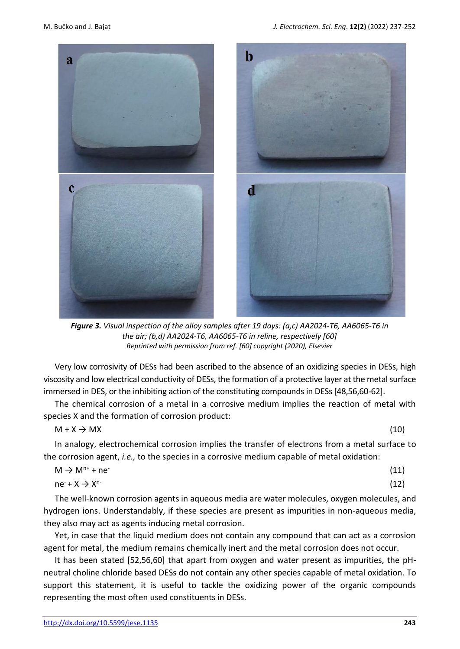

*Figure 3. Visual inspection of the alloy samples after 19 days: (a,c) AA2024-T6, AA6065-T6 in the air; (b,d) AA2024-T6, AA6065-T6 in reline, respectively [60] Reprinted with permission from ref. [60] copyright (2020), Elsevier*

Very low corrosivity of DESs had been ascribed to the absence of an oxidizing species in DESs, high viscosity and low electrical conductivity of DESs, the formation of a protective layer at the metal surface immersed in DES, or the inhibiting action of the constituting compounds in DESs [48,56,60-62].

The chemical corrosion of a metal in a corrosive medium implies the reaction of metal with species X and the formation of corrosion product:

 $M + X \rightarrow MX$  (10)

In analogy, electrochemical corrosion implies the transfer of electrons from a metal surface to the corrosion agent, *i.e.,* to the species in a corrosive medium capable of metal oxidation:

| $M \rightarrow M^{n+}$ + ne <sup>-</sup> | (11) |
|------------------------------------------|------|
| $ne + X \rightarrow X^{n-}$              | (12) |

The well-known corrosion agents in aqueous media are water molecules, oxygen molecules, and hydrogen ions. Understandably, if these species are present as impurities in non-aqueous media, they also may act as agents inducing metal corrosion.

Yet, in case that the liquid medium does not contain any compound that can act as a corrosion agent for metal, the medium remains chemically inert and the metal corrosion does not occur.

It has been stated [52,56,60] that apart from oxygen and water present as impurities, the pHneutral choline chloride based DESs do not contain any other species capable of metal oxidation. To support this statement, it is useful to tackle the oxidizing power of the organic compounds representing the most often used constituents in DESs.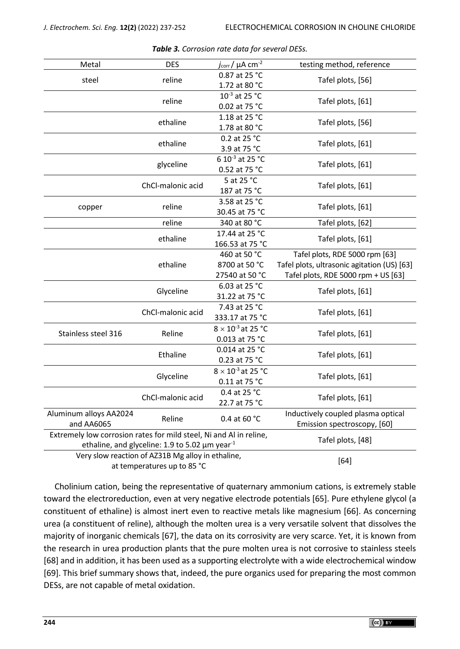| Metal                                                              | <b>DES</b>        | $j_{\text{corr}}/ \mu A \text{ cm}^{-2}$ | testing method, reference                   |
|--------------------------------------------------------------------|-------------------|------------------------------------------|---------------------------------------------|
|                                                                    |                   | 0.87 at 25 °C                            |                                             |
| steel                                                              | reline            | 1.72 at 80 °C                            | Tafel plots, [56]                           |
|                                                                    |                   | 10-3 at 25 °C                            |                                             |
|                                                                    | reline            | 0.02 at 75 °C                            | Tafel plots, [61]                           |
|                                                                    |                   | 1.18 at 25 °C                            |                                             |
|                                                                    | ethaline          |                                          | Tafel plots, [56]                           |
|                                                                    | ethaline          | 0.2 at 25 °C                             | Tafel plots, [61]                           |
|                                                                    |                   | 3.9 at 75 °C                             |                                             |
|                                                                    |                   | 6 10 <sup>-3</sup> at 25 °C              |                                             |
|                                                                    | glyceline         | 0.52 at 75 °C                            | Tafel plots, [61]                           |
|                                                                    | ChCl-malonic acid | 5 at 25 °C                               |                                             |
|                                                                    |                   | 187 at 75 °C                             | Tafel plots, [61]                           |
|                                                                    |                   | 3.58 at 25 °C                            |                                             |
| copper                                                             | reline            | 30.45 at 75 °C                           | Tafel plots, [61]                           |
|                                                                    | reline            | 340 at 80 °C                             | Tafel plots, [62]                           |
|                                                                    |                   | 17.44 at 25 °C                           |                                             |
|                                                                    | ethaline          | 166.53 at 75 °C                          | Tafel plots, [61]                           |
|                                                                    | ethaline          | 460 at 50 °C                             | Tafel plots, RDE 5000 rpm [63]              |
|                                                                    |                   | 8700 at 50 °C                            | Tafel plots, ultrasonic agitation (US) [63] |
|                                                                    |                   | 27540 at 50 °C                           | Tafel plots, RDE 5000 rpm + US [63]         |
|                                                                    | Glyceline         | 6.03 at 25 °C                            |                                             |
|                                                                    |                   | 31.22 at 75 °C                           | Tafel plots, [61]                           |
|                                                                    |                   | 7.43 at 25 °C                            |                                             |
|                                                                    | ChCl-malonic acid | 333.17 at 75 °C                          | Tafel plots, [61]                           |
| Stainless steel 316                                                | Reline            | $8 \times 10^{-3}$ at 25 °C              |                                             |
|                                                                    |                   | 0.013 at 75 °C                           | Tafel plots, [61]                           |
|                                                                    |                   | 0.014 at 25 °C                           |                                             |
|                                                                    | Ethaline          | 0.23 at 75 °C                            | Tafel plots, [61]                           |
|                                                                    |                   | $8 \times 10^{-3}$ at 25 °C              |                                             |
|                                                                    | Glyceline         | 0.11 at 75 °C                            | Tafel plots, [61]                           |
|                                                                    |                   | 0.4 at 25 °C                             |                                             |
|                                                                    | ChCl-malonic acid | 22.7 at 75 °C                            | Tafel plots, [61]                           |
| Aluminum alloys AA2024                                             |                   |                                          | Inductively coupled plasma optical          |
| and AA6065                                                         | Reline            | 0.4 at 60 °C                             | Emission spectroscopy, [60]                 |
| Extremely low corrosion rates for mild steel, Ni and Al in reline, |                   |                                          |                                             |
| ethaline, and glyceline: 1.9 to 5.02 $\mu$ m year <sup>-1</sup>    |                   |                                          | Tafel plots, [48]                           |
| Very slow reaction of AZ31B Mg alloy in ethaline,                  |                   |                                          |                                             |
| at temperatures up to 85 °C                                        |                   | $[64]$                                   |                                             |

*Table 3. Corrosion rate data for several DESs.*

Cholinium cation, being the representative of quaternary ammonium cations, is extremely stable toward the electroreduction, even at very negative electrode potentials [65]. Pure ethylene glycol (a constituent of ethaline) is almost inert even to reactive metals like magnesium [66]. As concerning urea (a constituent of reline), although the molten urea is a very versatile solvent that dissolves the majority of inorganic chemicals [67], the data on its corrosivity are very scarce. Yet, it is known from the research in urea production plants that the pure molten urea is not corrosive to stainless steels [68] and in addition, it has been used as a supporting electrolyte with a wide electrochemical window [69]. This brief summary shows that, indeed, the pure organics used for preparing the most common DESs, are not capable of metal oxidation.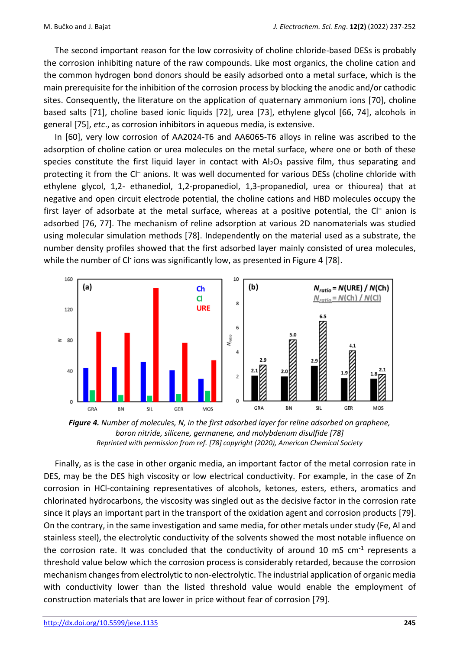The second important reason for the low corrosivity of choline chloride-based DESs is probably the corrosion inhibiting nature of the raw compounds. Like most organics, the choline cation and the common hydrogen bond donors should be easily adsorbed onto a metal surface, which is the main prerequisite for the inhibition of the corrosion process by blocking the anodic and/or cathodic sites. Consequently, the literature on the application of quaternary ammonium ions [70], choline based salts [71], choline based ionic liquids [72], urea [73], ethylene glycol [66, 74], alcohols in general [75], *etc*., as corrosion inhibitors in aqueous media, is extensive.

In [60], very low corrosion of AA2024-T6 and AA6065-T6 alloys in reline was ascribed to the adsorption of choline cation or urea molecules on the metal surface, where one or both of these species constitute the first liquid layer in contact with  $Al_2O_3$  passive film, thus separating and protecting it from the CI<sup>-</sup> anions. It was well documented for various DESs (choline chloride with ethylene glycol, 1,2- ethanediol, 1,2-propanediol, 1,3-propanediol, urea or thiourea) that at negative and open circuit electrode potential, the choline cations and HBD molecules occupy the first layer of adsorbate at the metal surface, whereas at a positive potential, the  $Cl^-$  anion is adsorbed [76, 77]. The mechanism of reline adsorption at various 2D nanomaterials was studied using molecular simulation methods [78]. Independently on the material used as a substrate, the number density profiles showed that the first adsorbed layer mainly consisted of urea molecules, while the number of CI<sup>-</sup> ions was significantly low, as presented in Figure 4 [78].



*Figure 4. Number of molecules, N, in the first adsorbed layer for reline adsorbed on graphene, boron nitride, silicene, germanene, and molybdenum disulfide [78] Reprinted with permission from ref. [78] copyright (2020), American Chemical Society*

Finally, as is the case in other organic media, an important factor of the metal corrosion rate in DES, may be the DES high viscosity or low electrical conductivity. For example, in the case of Zn corrosion in HCl-containing representatives of alcohols, ketones, esters, ethers, aromatics and chlorinated hydrocarbons, the viscosity was singled out as the decisive factor in the corrosion rate since it plays an important part in the transport of the oxidation agent and corrosion products [79]. On the contrary, in the same investigation and same media, for other metals under study (Fe, Al and stainless steel), the electrolytic conductivity of the solvents showed the most notable influence on the corrosion rate. It was concluded that the conductivity of around 10 mS cm<sup>-1</sup> represents a threshold value below which the corrosion process is considerably retarded, because the corrosion mechanism changes from electrolytic to non-electrolytic. The industrial application of organic media with conductivity lower than the listed threshold value would enable the employment of construction materials that are lower in price without fear of corrosion [79].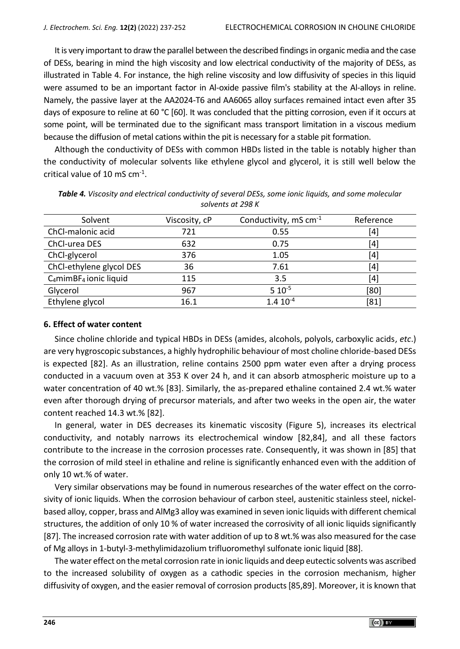It is very important to draw the parallel between the described findings in organic media and the case of DESs, bearing in mind the high viscosity and low electrical conductivity of the majority of DESs, as illustrated in Table 4. For instance, the high reline viscosity and low diffusivity of species in this liquid were assumed to be an important factor in Al-oxide passive film's stability at the Al-alloys in reline. Namely, the passive layer at the AA2024-T6 and AA6065 alloy surfaces remained intact even after 35 days of exposure to reline at 60 °C [60]. It was concluded that the pitting corrosion, even if it occurs at some point, will be terminated due to the significant mass transport limitation in a viscous medium because the diffusion of metal cations within the pit is necessary for a stable pit formation.

Although the conductivity of DESs with common HBDs listed in the table is notably higher than the conductivity of molecular solvents like ethylene glycol and glycerol, it is still well below the critical value of 10 mS cm $^{-1}$ .

| Solvent                                        | Viscosity, cP | Conductivity, mS $cm^{-1}$ | Reference |
|------------------------------------------------|---------------|----------------------------|-----------|
| ChCl-malonic acid                              | 721           | 0.55                       | [4]       |
| ChCl-urea DES                                  | 632           | 0.75                       | [4]       |
| ChCl-glycerol                                  | 376           | 1.05                       | [4]       |
| ChCl-ethylene glycol DES                       | 36            | 7.61                       | [4]       |
| C <sub>4</sub> mimBF <sub>4</sub> ionic liquid | 115           | 3.5                        | [4]       |
| Glycerol                                       | 967           | $5 10^{-5}$                | [80]      |
| Ethylene glycol                                | 16.1          | $1.4 10^{-4}$              | [81]      |

*Table 4. Viscosity and electrical conductivity of several DESs, some ionic liquids, and some molecular solvents at 298 K*

#### **6. Effect of water content**

Since choline chloride and typical HBDs in DESs (amides, alcohols, polyols, carboxylic acids, *etc*.) are very hygroscopic substances, a highly hydrophilic behaviour of most choline chloride-based DESs is expected [82]. As an illustration, reline contains 2500 ppm water even after a drying process conducted in a vacuum oven at 353 K over 24 h, and it can absorb atmospheric moisture up to a water concentration of 40 wt.% [83]. Similarly, the as-prepared ethaline contained 2.4 wt.% water even after thorough drying of precursor materials, and after two weeks in the open air, the water content reached 14.3 wt.% [82].

In general, water in DES decreases its kinematic viscosity (Figure 5), increases its electrical conductivity, and notably narrows its electrochemical window [82,84], and all these factors contribute to the increase in the corrosion processes rate. Consequently, it was shown in [85] that the corrosion of mild steel in ethaline and reline is significantly enhanced even with the addition of only 10 wt.% of water.

Very similar observations may be found in numerous researches of the water effect on the corrosivity of ionic liquids. When the corrosion behaviour of carbon steel, austenitic stainless steel, nickelbased alloy, copper, brass and AlMg3 alloy was examined in seven ionic liquids with different chemical structures, the addition of only 10 % of water increased the corrosivity of all ionic liquids significantly [87]. The increased corrosion rate with water addition of up to 8 wt.% was also measured for the case of Mg alloys in 1-butyl-3-methylimidazolium trifluoromethyl sulfonate ionic liquid [88].

The water effect on the metal corrosion rate in ionic liquids and deep eutectic solvents was ascribed to the increased solubility of oxygen as a cathodic species in the corrosion mechanism, higher diffusivity of oxygen, and the easier removal of corrosion products [85,89]. Moreover, it is known that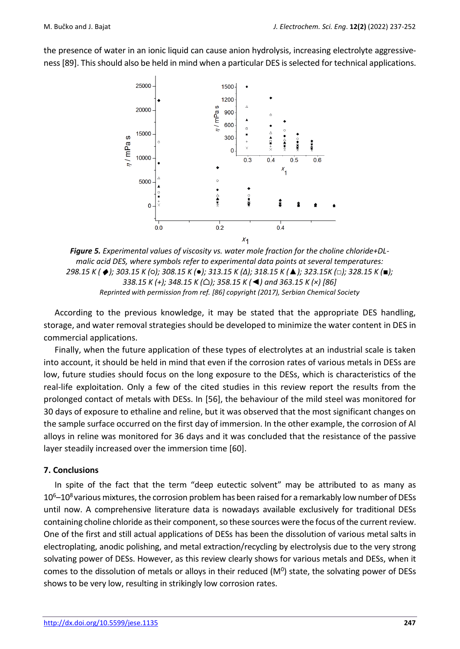the presence of water in an ionic liquid can cause anion hydrolysis, increasing electrolyte aggressiveness [89]. This should also be held in mind when a particular DES is selected for technical applications.



*Figure 5. Experimental values of viscosity vs. water mole fraction for the choline chloride+DLmalic acid DES, where symbols refer to experimental data points at several temperatures: 298.15 K (*♦*); 303.15 K (○); 308.15 K (●); 313.15 K (Δ); 318.15 K (▲); 323.15K (□); 328.15 K (■); 338.15 K (+); 348.15 K (⌂); 358.15 K (◄) and 363.15 K (×) [86] Reprinted with permission from ref. [86] copyright (2017), Serbian Chemical Society* 

According to the previous knowledge, it may be stated that the appropriate DES handling, storage, and water removal strategies should be developed to minimize the water content in DES in commercial applications.

Finally, when the future application of these types of electrolytes at an industrial scale is taken into account, it should be held in mind that even if the corrosion rates of various metals in DESs are low, future studies should focus on the long exposure to the DESs, which is characteristics of the real-life exploitation. Only a few of the cited studies in this review report the results from the prolonged contact of metals with DESs. In [56], the behaviour of the mild steel was monitored for 30 days of exposure to ethaline and reline, but it was observed that the most significant changes on the sample surface occurred on the first day of immersion. In the other example, the corrosion of Al alloys in reline was monitored for 36 days and it was concluded that the resistance of the passive layer steadily increased over the immersion time [60].

# **7. Conclusions**

In spite of the fact that the term "deep eutectic solvent" may be attributed to as many as  $10^6$ – $10^8$  various mixtures, the corrosion problem has been raised for a remarkably low number of DESs until now. A comprehensive literature data is nowadays available exclusively for traditional DESs containing choline chloride as their component, so these sources were the focus of the current review. One of the first and still actual applications of DESs has been the dissolution of various metal salts in electroplating, anodic polishing, and metal extraction/recycling by electrolysis due to the very strong solvating power of DESs. However, as this review clearly shows for various metals and DESs, when it comes to the dissolution of metals or alloys in their reduced ( $M<sup>0</sup>$ ) state, the solvating power of DESs shows to be very low, resulting in strikingly low corrosion rates.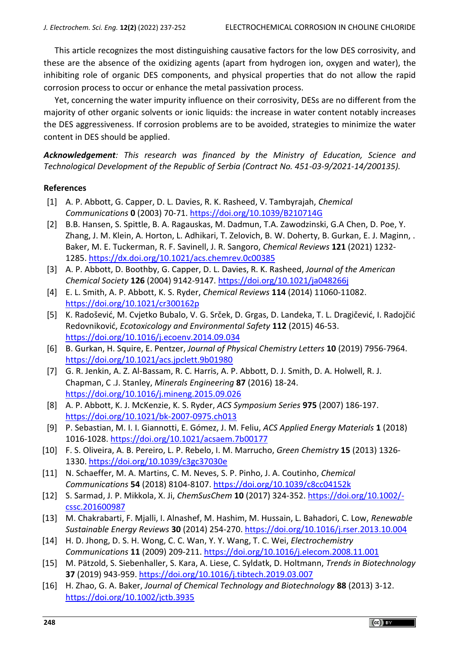This article recognizes the most distinguishing causative factors for the low DES corrosivity, and these are the absence of the oxidizing agents (apart from hydrogen ion, oxygen and water), the inhibiting role of organic DES components, and physical properties that do not allow the rapid corrosion process to occur or enhance the metal passivation process.

Yet, concerning the water impurity influence on their corrosivity, DESs are no different from the majority of other organic solvents or ionic liquids: the increase in water content notably increases the DES aggressiveness. If corrosion problems are to be avoided, strategies to minimize the water content in DES should be applied.

*Acknowledgement: This research was financed by the Ministry of Education, Science and Technological Development of the Republic of Serbia (Contract No. 451-03-9/2021-14/200135).*

# **References**

- [1] A. P. Abbott, G. Capper, D. L. Davies, R. K. Rasheed, V. Tambyrajah, *Chemical Communications* **0** (2003) 70-71.<https://doi.org/10.1039/B210714G>
- [2] B.B. Hansen, S. Spittle, B. A. Ragauskas, M. Dadmun, T.A. Zawodzinski, G.A Chen, D. Poe, Y. Zhang, J. M. Klein, A. Horton, L. Adhikari, T. Zelovich, B. W. Doherty, B. Gurkan, E. J. Maginn, . Baker, M. E. Tuckerman, R. F. Savinell, J. R. Sangoro, *Chemical Reviews* **121** (2021) 1232- 1285.<https://dx.doi.org/10.1021/acs.chemrev.0c00385>
- [3] A. P. Abbott, D. Boothby, G. Capper, D. L. Davies, R. K. Rasheed, *Journal of the American Chemical Society* **126** (2004) 9142-9147.<https://doi.org/10.1021/ja048266j>
- [4] E. L. Smith, A. P. Abbott, K. S. Ryder, *Chemical Reviews* **114** (2014) 11060-11082. <https://doi.org/10.1021/cr300162p>
- [5] K. Radošević, M. Cvjetko Bubalo, V. G. Srček, D. Grgas, D. Landeka, T. L. Dragičević, I. Radojčić Redovniković, *Ecotoxicology and Environmental Safety* **112** (2015) 46-53. <https://doi.org/10.1016/j.ecoenv.2014.09.034>
- [6] B. Gurkan, H. Squire, E. Pentzer, *Journal of Physical Chemistry Letters* **10** (2019) 7956-7964. <https://doi.org/10.1021/acs.jpclett.9b01980>
- [7] G. R. Jenkin, A. Z. Al-Bassam, R. C. Harris, A. P. Abbott, D. J. Smith, D. A. Holwell, R. J. Chapman, C .J. Stanley, *Minerals Engineering* **87** (2016) 18-24. <https://doi.org/10.1016/j.mineng.2015.09.026>
- [8] A. P. Abbott, K. J. McKenzie, K. S. Ryder, *ACS Symposium Series* **975** (2007) 186-197. <https://doi.org/10.1021/bk-2007-0975.ch013>
- [9] P. Sebastian, M. I. I. Giannotti, E. Gómez, J. M. Feliu, *ACS Applied Energy Materials* **1** (2018) 1016-1028.<https://doi.org/10.1021/acsaem.7b00177>
- [10] F. S. Oliveira, A. B. Pereiro, L. P. Rebelo, I. M. Marrucho, *Green Chemistry* **15** (2013) 1326- 1330.<https://doi.org/10.1039/c3gc37030e>
- [11] N. Schaeffer, M. A. Martins, C. M. Neves, S. P. Pinho, J. A. Coutinho, *Chemical Communications* **54** (2018) 8104-8107.<https://doi.org/10.1039/c8cc04152k>
- [12] S. Sarmad, J. P. Mikkola, X. Ji, *ChemSusChem* **10** (2017) 324-352. [https://doi.org/10.1002/](https://doi.org/10.1002/cssc.201600987) [cssc.201600987](https://doi.org/10.1002/cssc.201600987)
- [13] M. Chakrabarti, F. Mjalli, I. Alnashef, M. Hashim, M. Hussain, L. Bahadori, C. Low, *Renewable Sustainable Energy Reviews* **30** (2014) 254-270.<https://doi.org/10.1016/j.rser.2013.10.004>
- [14] H. D. Jhong, D. S. H. Wong, C. C. Wan, Y. Y. Wang, T. C. Wei, *Electrochemistry Communications* **11** (2009) 209-211.<https://doi.org/10.1016/j.elecom.2008.11.001>
- [15] M. Pätzold, S. Siebenhaller, S. Kara, A. Liese, C. Syldatk, D. Holtmann, *Trends in Biotechnology*  **37** (2019) 943-959.<https://doi.org/10.1016/j.tibtech.2019.03.007>
- [16] H. Zhao, G. A. Baker, *Journal of Chemical Technology and Biotechnology* **88** (2013) 3-12. <https://doi.org/10.1002/jctb.3935>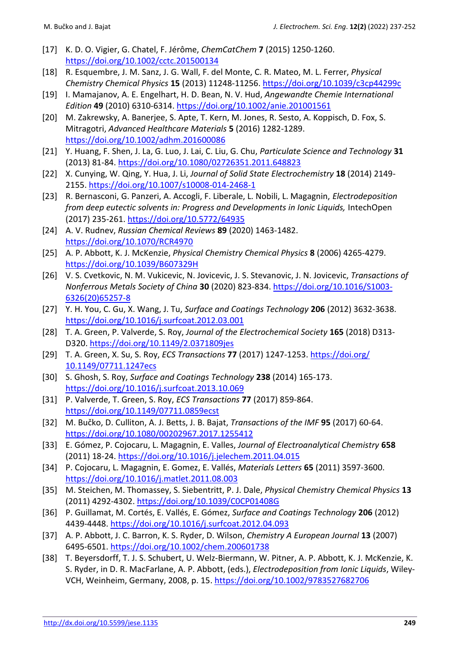- [17] K. D. O. Vigier, G. Chatel, F. Jérôme, *ChemCatChem* **7** (2015) 1250-1260. <https://doi.org/10.1002/cctc.201500134>
- [18] R. Esquembre, J. M. Sanz, J. G. Wall, F. del Monte, C. R. Mateo, M. L. Ferrer, *Physical Chemistry Chemical Physics* **15** (2013) 11248-11256. <https://doi.org/10.1039/c3cp44299c>
- [19] I. Mamajanov, A. E. Engelhart, H. D. Bean, N. V. Hud, *Angewandte Chemie International Edition* **49** (2010) 6310-6314.<https://doi.org/10.1002/anie.201001561>
- [20] M. Zakrewsky, A. Banerjee, S. Apte, T. Kern, M. Jones, R. Sesto, A. Koppisch, D. Fox, S. Mitragotri, *Advanced Healthcare Materials* **5** (2016) 1282-1289. <https://doi.org/10.1002/adhm.201600086>
- [21] Y. Huang, F. Shen, J. La, G. Luo, J. Lai, C. Liu, G. Chu, *Particulate Science and Technology* **31**  (2013) 81-84.<https://doi.org/10.1080/02726351.2011.648823>
- [22] X. Cunying, W. Qing, Y. Hua, J. Li, *Journal of Solid State Electrochemistry* **18** (2014) 2149- 2155.<https://doi.org/10.1007/s10008-014-2468-1>
- [23] R. Bernasconi, G. Panzeri, A. Accogli, F. Liberale, L. Nobili, L. Magagnin, *Electrodeposition from deep eutectic solvents in: Progress and Developments in Ionic Liquids, IntechOpen* (2017) 235-261.<https://doi.org/10.5772/64935>
- [24] A. V. Rudnev, *Russian Chemical Reviews* **89** (2020) 1463-1482. <https://doi.org/10.1070/RCR4970>
- [25] A. P. Abbott, K. J. McKenzie, *Physical Chemistry Chemical Physics* **8** (2006) 4265-4279. <https://doi.org/10.1039/B607329H>
- [26] V. S. Cvetkovic, N. M. Vukicevic, N. Jovicevic, J. S. Stevanovic, J. N. Jovicevic, *Transactions of Nonferrous Metals Society of China* **30** (2020) 823-834. [https://doi.org/10.1016/S1003-](https://doi.org/10.1016/S1003-6326(20)65257-8) [6326\(20\)65257-8](https://doi.org/10.1016/S1003-6326(20)65257-8)
- [27] Y. H. You, C. Gu, X. Wang, J. Tu, *Surface and Coatings Technology* **206** (2012) 3632-3638. <https://doi.org/10.1016/j.surfcoat.2012.03.001>
- [28] T. A. Green, P. Valverde, S. Roy, *Journal of the Electrochemical Society* **165** (2018) D313- D320.<https://doi.org/10.1149/2.0371809jes>
- [29] T. A. Green, X. Su, S. Roy, *ECS Transactions* **77** (2017) 1247-1253. [https://doi.org/](https://doi.org/%2010.1149/07711.1247ecs) [10.1149/07711.1247ecs](https://doi.org/%2010.1149/07711.1247ecs)
- [30] S. Ghosh, S. Roy, *Surface and Coatings Technology* **238** (2014) 165-173. <https://doi.org/10.1016/j.surfcoat.2013.10.069>
- [31] P. Valverde, T. Green, S. Roy, *ECS Transactions* **77** (2017) 859-864. <https://doi.org/10.1149/07711.0859ecst>
- [32] M. Bučko, D. Culliton, A. J. Betts, J. B. Bajat, *Transactions of the IMF* **95** (2017) 60-64. <https://doi.org/10.1080/00202967.2017.1255412>
- [33] E. Gómez, P. Cojocaru, L. Magagnin, E. Valles, *Journal of Electroanalytical Chemistry* **658** (2011) 18-24. <https://doi.org/10.1016/j.jelechem.2011.04.015>
- [34] P. Cojocaru, L. Magagnin, E. Gomez, E. Vallés, *Materials Letters* **65** (2011) 3597-3600. <https://doi.org/10.1016/j.matlet.2011.08.003>
- [35] M. Steichen, M. Thomassey, S. Siebentritt, P. J. Dale, *Physical Chemistry Chemical Physics* **13** (2011) 4292-4302. [https://doi.org/10.1039/C0CP01408G](https://doi.org/10.1080/00202967.2017.1255412)
- [36] P. Guillamat, M. Cortés, E. Vallés, E. Gómez, *Surface and Coatings Technology* **206** (2012) 4439-4448. [https://doi.org/10.1016/j.surfcoat.2012.04.093](https://doi.org/10.1080/00202967.2017.1255412)
- [37] A. P. Abbott, J. C. Barron, K. S. Ryder, D. Wilson, *Chemistry A European Journal* **13** (2007) 6495-6501.<https://doi.org/10.1002/chem.200601738>
- [38] T. Beyersdorff, T. J. S. Schubert, U. Welz-Biermann, W. Pitner, A. P. Abbott, K. J. McKenzie, K. S. Ryder, in D. R. MacFarlane, A. P. Abbott, (eds.), *Electrodeposition from Ionic Liquids*, Wiley-VCH, Weinheim, Germany, 2008, p. 15.<https://doi.org/10.1002/9783527682706>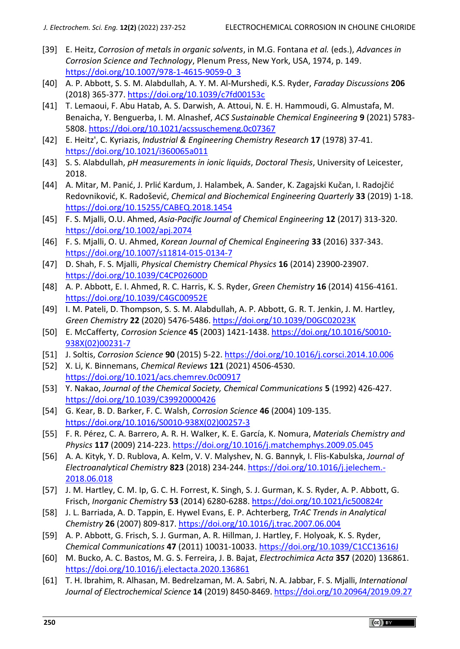- [39] E. Heitz, *Corrosion of metals in organic solvents*, in M.G. Fontana *et al.* (eds.), *Advances in Corrosion Science and Technology*, Plenum Press, New York, USA, 1974, p. 149. [https://doi.org/10.1007/978-1-4615-9059-0\\_3](https://doi.org/10.1007/978-1-4615-9059-0_3)
- [40] A. P. Abbott, S. S. M. Alabdullah, A. Y. M. Al-Murshedi, K.S. Ryder, *Faraday Discussions* **206** (2018) 365-377.<https://doi.org/10.1039/c7fd00153c>
- [41] T. Lemaoui, F. Abu Hatab, A. S. Darwish, A. Attoui, N. E. H. Hammoudi, G. Almustafa, M. Benaicha, Y. Benguerba, I. M. Alnashef, *ACS Sustainable Chemical Engineering* **9** (2021) 5783- 5808.<https://doi.org/10.1021/acssuschemeng.0c07367>
- [42] E. Heitz', C. Kyriazis, *Industrial & Engineering Chemistry Research* **17** (1978) 37-41. <https://doi.org/10.1021/i360065a011>
- [43] S. S. Alabdullah, *pH measurements in ionic liquids*, *Doctoral Thesis*, University of Leicester, 2018.
- [44] A. Mitar, M. Panić, J. Prlić Kardum, J. Halambek, A. Sander, K. Zagajski Kučan, I. Radojčić Redovniković, K. Radošević, *Chemical and Biochemical Engineering Quarterly* **33** (2019) 1-18. <https://doi.org/10.15255/CABEQ.2018.1454>
- [45] F. S. Mjalli, O.U. Ahmed, *Asia-Pacific Journal of Chemical Engineering* **12** (2017) 313-320. <https://doi.org/10.1002/apj.2074>
- [46] F. S. Mjalli, O. U. Ahmed, *Korean Journal of Chemical Engineering* **33** (2016) 337-343. <https://doi.org/10.1007/s11814-015-0134-7>
- [47] D. Shah, F. S. Mjalli, *Physical Chemistry Chemical Physics* **16** (2014) 23900-23907. <https://doi.org/10.1039/C4CP02600D>
- [48] A. P. Abbott, E. I. Ahmed, R. C. Harris, K. S. Ryder, *Green Chemistry* **16** (2014) 4156-4161. <https://doi.org/10.1039/C4GC00952E>
- [49] I. M. Pateli, D. Thompson, S. S. M. Alabdullah, A. P. Abbott, G. R. T. Jenkin, J. M. Hartley, *Green Chemistry* **22** (2020) 5476-5486[. https://doi.org/10.1039/D0GC02023K](https://doi.org/10.1039/D0GC02023K)
- [50] E. McCafferty, *Corrosion Science* **45** (2003) 1421-1438. [https://doi.org/10.1016/S0010-](https://doi.org/10.1016/S0010-938X(02)00231-7) [938X\(02\)00231-7](https://doi.org/10.1016/S0010-938X(02)00231-7)
- [51] J. Soltis, *Corrosion Science* **90** (2015) 5-22.<https://doi.org/10.1016/j.corsci.2014.10.006>
- [52] X. Li, K. Binnemans, *Chemical Reviews* **121** (2021) 4506-4530. <https://doi.org/10.1021/acs.chemrev.0c00917>
- [53] Y. Nakao, *Journal of the Chemical Society, Chemical Communications* **5** (1992) 426-427. <https://doi.org/10.1039/C39920000426>
- [54] G. Kear, B. D. Barker, F. C. Walsh, *Corrosion Science* **46** (2004) 109-135. [https://doi.org/10.1016/S0010-938X\(02\)00257-3](https://doi.org/10.1016/S0010-938X(02)00257-3)
- [55] F. R. Pérez, C. A. Barrero, A. R. H. Walker, K. E. García, K. Nomura, *Materials Chemistry and Physics* **117** (2009) 214-223.<https://doi.org/10.1016/j.matchemphys.2009.05.045>
- [56] A. A. Kityk, Y. D. Rublova, A. Kelm, V. V. Malyshev, N. G. Bannyk, I. Flis-Kabulska, *Journal of Electroanalytical Chemistry* **823** (2018) 234-244. [https://doi.org/10.1016/j.jelechem.-](https://doi.org/10.1016/j.jelechem.2018.06.018) [2018.06.018](https://doi.org/10.1016/j.jelechem.2018.06.018)
- [57] J. M. Hartley, C. M. Ip, G. C. H. Forrest, K. Singh, S. J. Gurman, K. S. Ryder, A. P. Abbott, G. Frisch, *Inorganic Chemistry* **53** (2014) 6280-6288.<https://doi.org/10.1021/ic500824r>
- [58] J. L. Barriada, A. D. Tappin, E. Hywel Evans, E. P. Achterberg, *TrAC Trends in Analytical Chemistry* **26** (2007) 809-817. <https://doi.org/10.1016/j.trac.2007.06.004>
- [59] A. P. Abbott, G. Frisch, S. J. Gurman, A. R. Hillman, J. Hartley, F. Holyoak, K. S. Ryder, *Chemical Communications* **47** (2011) 10031-10033. <https://doi.org/10.1039/C1CC13616J>
- [60] M. Bucko, A. C. Bastos, M. G. S. Ferreira, J. B. Bajat, *Electrochimica Acta* **357** (2020) 136861. <https://doi.org/10.1016/j.electacta.2020.136861>
- [61] T. H. Ibrahim, R. Alhasan, M. Bedrelzaman, M. A. Sabri, N. A. Jabbar, F. S. Mjalli, *International Journal of Electrochemical Science* **14** (2019) 8450-8469. <https://doi.org/10.20964/2019.09.27>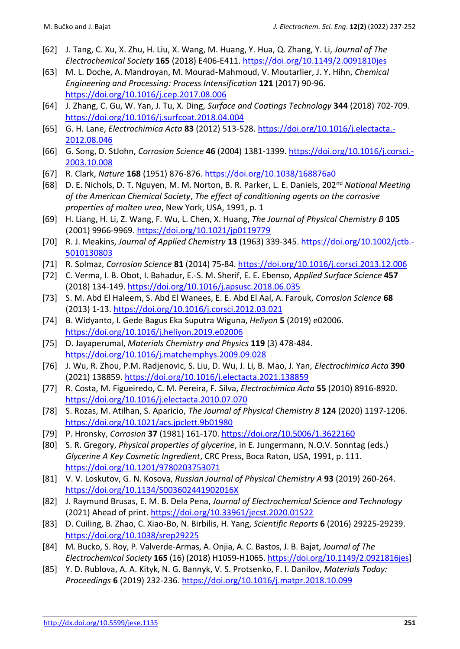- [62] J. Tang, C. Xu, X. Zhu, H. Liu, X. Wang, M. Huang, Y. Hua, Q. Zhang, Y. Li, *Journal of The Electrochemical Society* **165** (2018) E406-E411. <https://doi.org/10.1149/2.0091810jes>
- [63] M. L. Doche, A. Mandroyan, M. Mourad-Mahmoud, V. Moutarlier, J. Y. Hihn, *Chemical Engineering and Processing: Process Intensification* **121** (2017) 90-96. <https://doi.org/10.1016/j.cep.2017.08.006>
- [64] J. Zhang, C. Gu, W. Yan, J. Tu, X. Ding, *Surface and Coatings Technology* **344** (2018) 702-709. <https://doi.org/10.1016/j.surfcoat.2018.04.004>
- [65] G. H. Lane, *Electrochimica Acta* **83** (2012) 513-528. [https://doi.org/10.1016/j.electacta.-](https://doi.org/10.1016/j.electacta.2012.08.046) [2012.08.046](https://doi.org/10.1016/j.electacta.2012.08.046)
- [66] G. Song, D. StJohn, *Corrosion Science* **46** (2004) 1381-1399. [https://doi.org/10.1016/j.corsci.-](https://doi.org/10.1016/j.corsci.2003.10.008) [2003.10.008](https://doi.org/10.1016/j.corsci.2003.10.008)
- [67] R. Clark, *Nature* **168** (1951) 876-876.<https://doi.org/10.1038/168876a0>
- [68] D. E. Nichols, D. T. Nguyen, M. M. Norton, B. R. Parker, L. E. Daniels, 202nd *National Meeting of the American Chemical Society*, *The effect of conditioning agents on the corrosive properties of molten urea*, New York, USA, 1991, p. 1
- [69] H. Liang, H. Li, Z. Wang, F. Wu, L. Chen, X. Huang, *The Journal of Physical Chemistry B* **105**  (2001) 9966-9969.<https://doi.org/10.1021/jp0119779>
- [70] R. J. Meakins, *Journal of Applied Chemistry* **13** (1963) 339-345. [https://doi.org/10.1002/jctb.-](https://doi.org/10.1002/jctb.5010130803) [5010130803](https://doi.org/10.1002/jctb.5010130803)
- [71] R. Solmaz, *Corrosion Science* **81** (2014) 75-84.<https://doi.org/10.1016/j.corsci.2013.12.006>
- [72] C. Verma, I. B. Obot, I. Bahadur, E.-S. M. Sherif, E. E. Ebenso, *Applied Surface Science* **457** (2018) 134-149.<https://doi.org/10.1016/j.apsusc.2018.06.035>
- [73] S. M. Abd El Haleem, S. Abd El Wanees, E. E. Abd El Aal, A. Farouk, *Corrosion Science* **68** (2013) 1-13.<https://doi.org/10.1016/j.corsci.2012.03.021>
- [74] B. Widyanto, I. Gede Bagus Eka Suputra Wiguna, *Heliyon* **5** (2019) e02006. <https://doi.org/10.1016/j.heliyon.2019.e02006>
- [75] D. Jayaperumal, *Materials Chemistry and Physics* **119** (3) 478-484. <https://doi.org/10.1016/j.matchemphys.2009.09.028>
- [76] J. Wu, R. Zhou, P.M. Radjenovic, S. Liu, D. Wu, J. Li, B. Mao, J. Yan, *Electrochimica Acta* **390** (2021) 138859.<https://doi.org/10.1016/j.electacta.2021.138859>
- [77] R. Costa, M. Figueiredo, C. M. Pereira, F. Silva, *Electrochimica Acta* **55** (2010) 8916-8920. <https://doi.org/10.1016/j.electacta.2010.07.070>
- [78] S. Rozas, M. Atilhan, S. Aparicio, *The Journal of Physical Chemistry B* **124** (2020) 1197-1206. <https://doi.org/10.1021/acs.jpclett.9b01980>
- [79] P. Hronsky, *Corrosion* **37** (1981) 161-170.<https://doi.org/10.5006/1.3622160>
- [80] S. R. Gregory, *Physical properties of glycerine*, in E. Jungermann, N.O.V. Sonntag (eds.) *Glycerine A Key Cosmetic Ingredient*, CRC Press, Boca Raton, USA, 1991, p. 111. <https://doi.org/10.1201/9780203753071>
- [81] V. V. Loskutov, G. N. Kosova, *Russian Journal of Physical Chemistry A* **93** (2019) 260-264. <https://doi.org/10.1134/S003602441902016X>
- [82] J. Raymund Brusas, E. M. B. Dela Pena, *Journal of Electrochemical Science and Technology* (2021) Ahead of print.<https://doi.org/10.33961/jecst.2020.01522>
- [83] D. Cuiling, B. Zhao, C. Xiao-Bo, N. Birbilis, H. Yang, *Scientific Reports* **6** (2016) 29225-29239. <https://doi.org/10.1038/srep29225>
- [84] M. Bucko, S. Roy, P. Valverde-Armas, A. Onjia, A. C. Bastos, J. B. Bajat, *Journal of The Electrochemical Society* **165** (16) (2018) H1059-H1065. [https://doi.org/10.1149/2.0921816jes\]](https://doi.org/10.1149/2.0921816jes)
- [85] Y. D. Rublova, A. A. Kityk, N. G. Bannyk, V. S. Protsenko, F. I. Danilov, *Materials Today: Proceedings* **6** (2019) 232-236. [https://doi.org/10.1016/j.matpr.2018.10.099](https://doi.org/10.1039/B419320M)